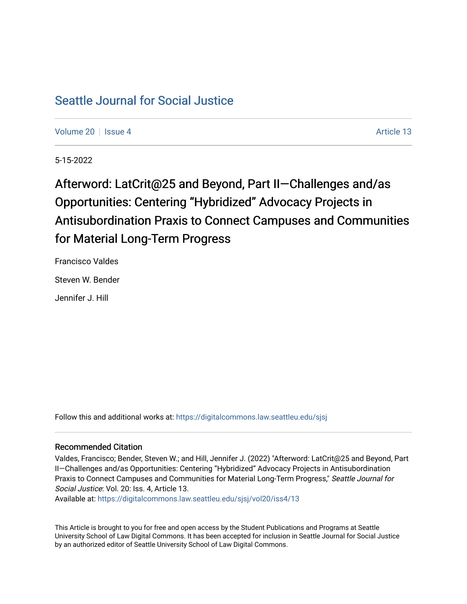# [Seattle Journal for Social Justice](https://digitalcommons.law.seattleu.edu/sjsj)

[Volume 20](https://digitalcommons.law.seattleu.edu/sjsj/vol20) | [Issue 4](https://digitalcommons.law.seattleu.edu/sjsj/vol20/iss4) Article 13

5-15-2022

Afterword: LatCrit@25 and Beyond, Part II–Challenges and/as Opportunities: Centering "Hybridized" Advocacy Projects in Antisubordination Praxis to Connect Campuses and Communities for Material Long-Term Progress

Francisco Valdes Steven W. Bender

Jennifer J. Hill

Follow this and additional works at: [https://digitalcommons.law.seattleu.edu/sjsj](https://digitalcommons.law.seattleu.edu/sjsj?utm_source=digitalcommons.law.seattleu.edu%2Fsjsj%2Fvol20%2Fiss4%2F13&utm_medium=PDF&utm_campaign=PDFCoverPages)

#### Recommended Citation

Valdes, Francisco; Bender, Steven W.; and Hill, Jennifer J. (2022) "Afterword: LatCrit@25 and Beyond, Part II—Challenges and/as Opportunities: Centering "Hybridized" Advocacy Projects in Antisubordination Praxis to Connect Campuses and Communities for Material Long-Term Progress," Seattle Journal for Social Justice: Vol. 20: Iss. 4, Article 13.

Available at: [https://digitalcommons.law.seattleu.edu/sjsj/vol20/iss4/13](https://digitalcommons.law.seattleu.edu/sjsj/vol20/iss4/13?utm_source=digitalcommons.law.seattleu.edu%2Fsjsj%2Fvol20%2Fiss4%2F13&utm_medium=PDF&utm_campaign=PDFCoverPages) 

This Article is brought to you for free and open access by the Student Publications and Programs at Seattle University School of Law Digital Commons. It has been accepted for inclusion in Seattle Journal for Social Justice by an authorized editor of Seattle University School of Law Digital Commons.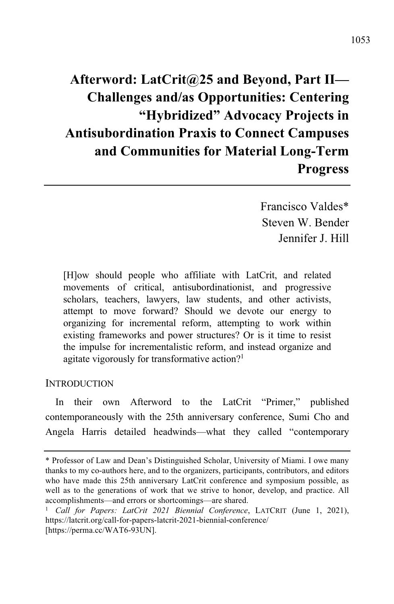**Afterword: LatCrit@25 and Beyond, Part II— Challenges and/as Opportunities: Centering "Hybridized" Advocacy Projects in Antisubordination Praxis to Connect Campuses and Communities for Material Long-Term Progress**

> Francisco Valdes\* Steven W. Bender Jennifer J. Hill

[H]ow should people who affiliate with LatCrit, and related movements of critical, antisubordinationist, and progressive scholars, teachers, lawyers, law students, and other activists, attempt to move forward? Should we devote our energy to organizing for incremental reform, attempting to work within existing frameworks and power structures? Or is it time to resist the impulse for incrementalistic reform, and instead organize and agitate vigorously for transformative action?<sup>1</sup>

**INTRODUCTION** 

In their own Afterword to the LatCrit "Primer," published contemporaneously with the 25th anniversary conference, Sumi Cho and Angela Harris detailed headwinds—what they called "contemporary

<sup>\*</sup> Professor of Law and Dean's Distinguished Scholar, University of Miami. I owe many thanks to my co-authors here, and to the organizers, participants, contributors, and editors who have made this 25th anniversary LatCrit conference and symposium possible, as well as to the generations of work that we strive to honor, develop, and practice. All accomplishments—and errors or shortcomings—are shared.

<sup>1</sup> *Call for Papers: LatCrit 2021 Biennial Conference*, LATCRIT (June 1, 2021), https://latcrit.org/call-for-papers-latcrit-2021-biennial-conference/ [https://perma.cc/WAT6-93UN].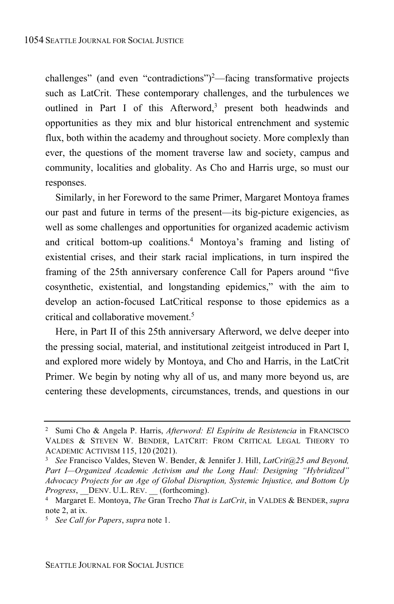challenges" (and even "contradictions") <sup>2</sup>—facing transformative projects such as LatCrit. These contemporary challenges, and the turbulences we outlined in Part I of this Afterword, $3$  present both headwinds and opportunities as they mix and blur historical entrenchment and systemic flux, both within the academy and throughout society. More complexly than ever, the questions of the moment traverse law and society, campus and community, localities and globality. As Cho and Harris urge, so must our responses.

Similarly, in her Foreword to the same Primer, Margaret Montoya frames our past and future in terms of the present—its big-picture exigencies, as well as some challenges and opportunities for organized academic activism and critical bottom-up coalitions.<sup>4</sup> Montoya's framing and listing of existential crises, and their stark racial implications, in turn inspired the framing of the 25th anniversary conference Call for Papers around "five cosynthetic, existential, and longstanding epidemics," with the aim to develop an action-focused LatCritical response to those epidemics as a critical and collaborative movement.<sup>5</sup>

Here, in Part II of this 25th anniversary Afterword, we delve deeper into the pressing social, material, and institutional zeitgeist introduced in Part I, and explored more widely by Montoya, and Cho and Harris, in the LatCrit Primer. We begin by noting why all of us, and many more beyond us, are centering these developments, circumstances, trends, and questions in our

<sup>2</sup> Sumi Cho & Angela P. Harris, *Afterword: El Espíritu de Resistencia* in FRANCISCO VALDES & STEVEN W. BENDER, LATCRIT: FROM CRITICAL LEGAL THEORY TO ACADEMIC ACTIVISM 115, 120 (2021).

<sup>3</sup> *See* Francisco Valdes, Steven W. Bender, & Jennifer J. Hill, *LatCrit@25 and Beyond, Part I—Organized Academic Activism and the Long Haul: Designing "Hybridized" Advocacy Projects for an Age of Global Disruption, Systemic Injustice, and Bottom Up Progress*, \_\_DENV. U.L. REV. \_\_ (forthcoming).

<sup>4</sup> Margaret E. Montoya, *The* Gran Trecho *That is LatCrit*, in VALDES & BENDER, *supra* note 2, at ix.

<sup>5</sup> *See Call for Papers*, *supra* note 1.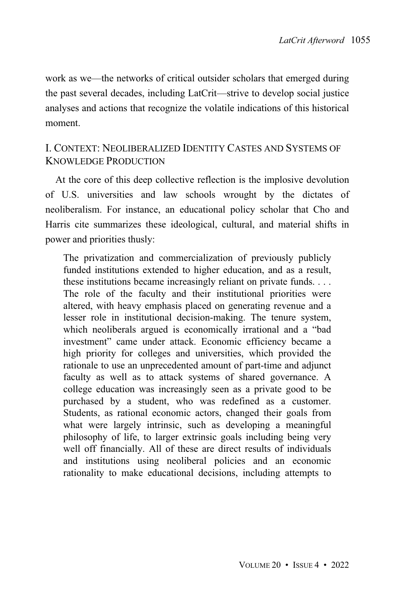work as we—the networks of critical outsider scholars that emerged during the past several decades, including LatCrit—strive to develop social justice analyses and actions that recognize the volatile indications of this historical moment.

# I. CONTEXT: NEOLIBERALIZED IDENTITY CASTES AND SYSTEMS OF KNOWLEDGE PRODUCTION

At the core of this deep collective reflection is the implosive devolution of U.S. universities and law schools wrought by the dictates of neoliberalism. For instance, an educational policy scholar that Cho and Harris cite summarizes these ideological, cultural, and material shifts in power and priorities thusly:

The privatization and commercialization of previously publicly funded institutions extended to higher education, and as a result, these institutions became increasingly reliant on private funds. . . . The role of the faculty and their institutional priorities were altered, with heavy emphasis placed on generating revenue and a lesser role in institutional decision-making. The tenure system, which neoliberals argued is economically irrational and a "bad investment" came under attack. Economic efficiency became a high priority for colleges and universities, which provided the rationale to use an unprecedented amount of part-time and adjunct faculty as well as to attack systems of shared governance. A college education was increasingly seen as a private good to be purchased by a student, who was redefined as a customer. Students, as rational economic actors, changed their goals from what were largely intrinsic, such as developing a meaningful philosophy of life, to larger extrinsic goals including being very well off financially. All of these are direct results of individuals and institutions using neoliberal policies and an economic rationality to make educational decisions, including attempts to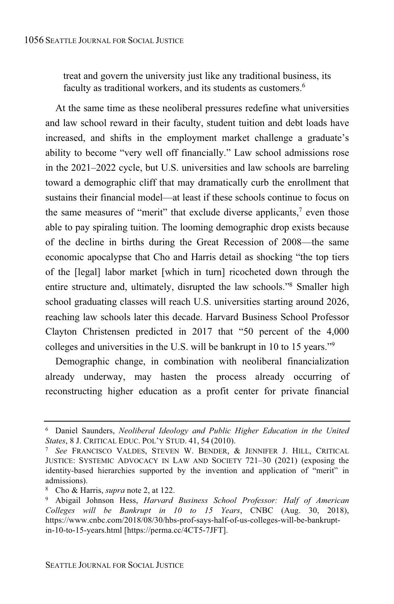treat and govern the university just like any traditional business, its faculty as traditional workers, and its students as customers.<sup>6</sup>

At the same time as these neoliberal pressures redefine what universities and law school reward in their faculty, student tuition and debt loads have increased, and shifts in the employment market challenge a graduate's ability to become "very well off financially." Law school admissions rose in the 2021–2022 cycle, but U.S. universities and law schools are barreling toward a demographic cliff that may dramatically curb the enrollment that sustains their financial model—at least if these schools continue to focus on the same measures of "merit" that exclude diverse applicants, $\alpha$  even those able to pay spiraling tuition. The looming demographic drop exists because of the decline in births during the Great Recession of 2008—the same economic apocalypse that Cho and Harris detail as shocking "the top tiers of the [legal] labor market [which in turn] ricocheted down through the entire structure and, ultimately, disrupted the law schools."<sup>8</sup> Smaller high school graduating classes will reach U.S. universities starting around 2026, reaching law schools later this decade. Harvard Business School Professor Clayton Christensen predicted in 2017 that "50 percent of the 4,000 colleges and universities in the U.S. will be bankrupt in 10 to 15 years."<sup>9</sup>

Demographic change, in combination with neoliberal financialization already underway, may hasten the process already occurring of reconstructing higher education as a profit center for private financial

<sup>6</sup> Daniel Saunders, *Neoliberal Ideology and Public Higher Education in the United States*, 8 J. CRITICAL EDUC. POL'Y STUD. 41, 54 (2010).

<sup>7</sup> *See* FRANCISCO VALDES, STEVEN W. BENDER, & JENNIFER J. HILL, CRITICAL JUSTICE: SYSTEMIC ADVOCACY IN LAW AND SOCIETY 721–30 (2021) (exposing the identity-based hierarchies supported by the invention and application of "merit" in admissions).

<sup>8</sup> Cho & Harris, *supra* note 2, at 122.

<sup>9</sup> Abigail Johnson Hess, *Harvard Business School Professor: Half of American Colleges will be Bankrupt in 10 to 15 Years*, CNBC (Aug. 30, 2018), https://www.cnbc.com/2018/08/30/hbs-prof-says-half-of-us-colleges-will-be-bankruptin-10-to-15-years.html [https://perma.cc/4CT5-7JFT].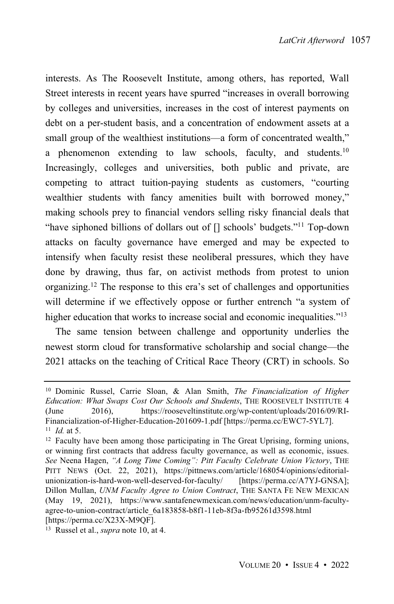interests. As The Roosevelt Institute, among others, has reported, Wall Street interests in recent years have spurred "increases in overall borrowing by colleges and universities, increases in the cost of interest payments on debt on a per-student basis, and a concentration of endowment assets at a small group of the wealthiest institutions—a form of concentrated wealth," a phenomenon extending to law schools, faculty, and students.<sup>10</sup> Increasingly, colleges and universities, both public and private, are competing to attract tuition-paying students as customers, "courting wealthier students with fancy amenities built with borrowed money," making schools prey to financial vendors selling risky financial deals that "have siphoned billions of dollars out of  $\iota$  schools' budgets."<sup>11</sup> Top-down attacks on faculty governance have emerged and may be expected to intensify when faculty resist these neoliberal pressures, which they have done by drawing, thus far, on activist methods from protest to union organizing.<sup>12</sup> The response to this era's set of challenges and opportunities will determine if we effectively oppose or further entrench "a system of higher education that works to increase social and economic inequalities."<sup>13</sup>

The same tension between challenge and opportunity underlies the newest storm cloud for transformative scholarship and social change—the 2021 attacks on the teaching of Critical Race Theory (CRT) in schools. So

<sup>10</sup> Dominic Russel, Carrie Sloan, & Alan Smith, *The Financialization of Higher Education: What Swaps Cost Our Schools and Students*, THE ROOSEVELT INSTITUTE 4 (June 2016), https://rooseveltinstitute.org/wp-content/uploads/2016/09/RI-Financialization-of-Higher-Education-201609-1.pdf [https://perma.cc/EWC7-5YL7]. <sup>11</sup> *Id.* at 5.

<sup>&</sup>lt;sup>12</sup> Faculty have been among those participating in The Great Uprising, forming unions, or winning first contracts that address faculty governance, as well as economic, issues. *See* Neena Hagen, *"A Long Time Coming": Pitt Faculty Celebrate Union Victory*, THE PITT NEWS (Oct. 22, 2021), https://pittnews.com/article/168054/opinions/editorialunionization-is-hard-won-well-deserved-for-faculty/ [https://perma.cc/A7YJ-GNSA]; Dillon Mullan, *UNM Faculty Agree to Union Contract*, THE SANTA FE NEW MEXICAN (May 19, 2021), https://www.santafenewmexican.com/news/education/unm-facultyagree-to-union-contract/article\_6a183858-b8f1-11eb-8f3a-fb95261d3598.html [https://perma.cc/X23X-M9QF].

<sup>13</sup> Russel et al., *supra* note 10, at 4.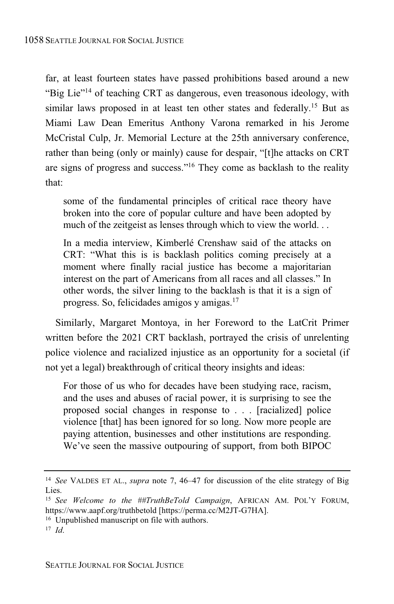far, at least fourteen states have passed prohibitions based around a new "Big Lie"<sup>14</sup> of teaching CRT as dangerous, even treasonous ideology, with similar laws proposed in at least ten other states and federally.<sup>15</sup> But as Miami Law Dean Emeritus Anthony Varona remarked in his Jerome McCristal Culp, Jr. Memorial Lecture at the 25th anniversary conference, rather than being (only or mainly) cause for despair, "[t]he attacks on CRT are signs of progress and success." <sup>16</sup> They come as backlash to the reality that:

some of the fundamental principles of critical race theory have broken into the core of popular culture and have been adopted by much of the zeitgeist as lenses through which to view the world. . .

In a media interview, Kimberlé Crenshaw said of the attacks on CRT: "What this is is backlash politics coming precisely at a moment where finally racial justice has become a majoritarian interest on the part of Americans from all races and all classes." In other words, the silver lining to the backlash is that it is a sign of progress. So, felicidades amigos y amigas.<sup>17</sup>

Similarly, Margaret Montoya, in her Foreword to the LatCrit Primer written before the 2021 CRT backlash, portrayed the crisis of unrelenting police violence and racialized injustice as an opportunity for a societal (if not yet a legal) breakthrough of critical theory insights and ideas:

For those of us who for decades have been studying race, racism, and the uses and abuses of racial power, it is surprising to see the proposed social changes in response to . . . [racialized] police violence [that] has been ignored for so long. Now more people are paying attention, businesses and other institutions are responding. We've seen the massive outpouring of support, from both BIPOC

<sup>14</sup> *See* VALDES ET AL., *supra* note 7, 46–47 for discussion of the elite strategy of Big Lies.

<sup>15</sup> *See Welcome to the ##TruthBeTold Campaign*, AFRICAN AM. POL'Y FORUM, https://www.aapf.org/truthbetold [https://perma.cc/M2JT-G7HA].

<sup>16</sup> Unpublished manuscript on file with authors.

<sup>17</sup> *Id*.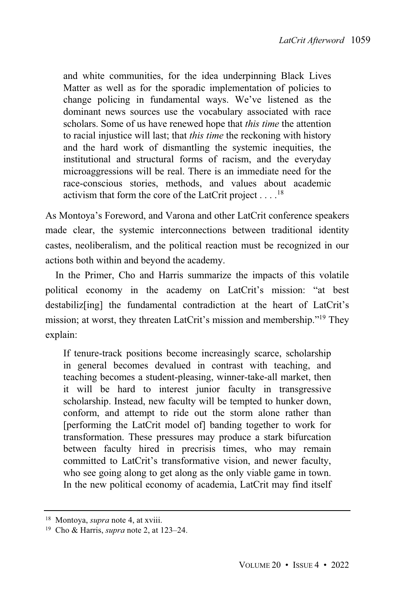and white communities, for the idea underpinning Black Lives Matter as well as for the sporadic implementation of policies to change policing in fundamental ways. We've listened as the dominant news sources use the vocabulary associated with race scholars. Some of us have renewed hope that *this time* the attention to racial injustice will last; that *this time* the reckoning with history and the hard work of dismantling the systemic inequities, the institutional and structural forms of racism, and the everyday microaggressions will be real. There is an immediate need for the race-conscious stories, methods, and values about academic activism that form the core of the LatCrit project  $\dots$ .<sup>18</sup>

As Montoya's Foreword, and Varona and other LatCrit conference speakers made clear, the systemic interconnections between traditional identity castes, neoliberalism, and the political reaction must be recognized in our actions both within and beyond the academy.

In the Primer, Cho and Harris summarize the impacts of this volatile political economy in the academy on LatCrit's mission: "at best destabiliz<sup>[ing]</sup> the fundamental contradiction at the heart of LatCrit's mission; at worst, they threaten LatCrit's mission and membership."<sup>19</sup> They explain:

If tenure-track positions become increasingly scarce, scholarship in general becomes devalued in contrast with teaching, and teaching becomes a student-pleasing, winner-take-all market, then it will be hard to interest junior faculty in transgressive scholarship. Instead, new faculty will be tempted to hunker down, conform, and attempt to ride out the storm alone rather than [performing the LatCrit model of] banding together to work for transformation. These pressures may produce a stark bifurcation between faculty hired in precrisis times, who may remain committed to LatCrit's transformative vision, and newer faculty, who see going along to get along as the only viable game in town. In the new political economy of academia, LatCrit may find itself

<sup>18</sup> Montoya, *supra* note 4, at xviii.

<sup>19</sup> Cho & Harris, *supra* note 2, at 123–24.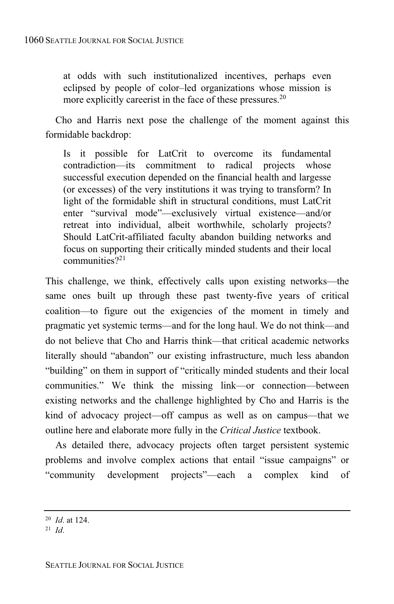at odds with such institutionalized incentives, perhaps even eclipsed by people of color–led organizations whose mission is more explicitly careerist in the face of these pressures.<sup>20</sup>

Cho and Harris next pose the challenge of the moment against this formidable backdrop:

Is it possible for LatCrit to overcome its fundamental contradiction—its commitment to radical projects whose successful execution depended on the financial health and largesse (or excesses) of the very institutions it was trying to transform? In light of the formidable shift in structural conditions, must LatCrit enter "survival mode"—exclusively virtual existence—and/or retreat into individual, albeit worthwhile, scholarly projects? Should LatCrit-affiliated faculty abandon building networks and focus on supporting their critically minded students and their local communities?<sup>21</sup>

This challenge, we think, effectively calls upon existing networks—the same ones built up through these past twenty-five years of critical coalition—to figure out the exigencies of the moment in timely and pragmatic yet systemic terms—and for the long haul. We do not think—and do not believe that Cho and Harris think—that critical academic networks literally should "abandon" our existing infrastructure, much less abandon "building" on them in support of "critically minded students and their local communities." We think the missing link—or connection—between existing networks and the challenge highlighted by Cho and Harris is the kind of advocacy project—off campus as well as on campus—that we outline here and elaborate more fully in the *Critical Justice* textbook.

As detailed there, advocacy projects often target persistent systemic problems and involve complex actions that entail "issue campaigns" or "community development projects"—each a complex kind of

<sup>20</sup> *Id*. at 124.

<sup>21</sup> *Id*.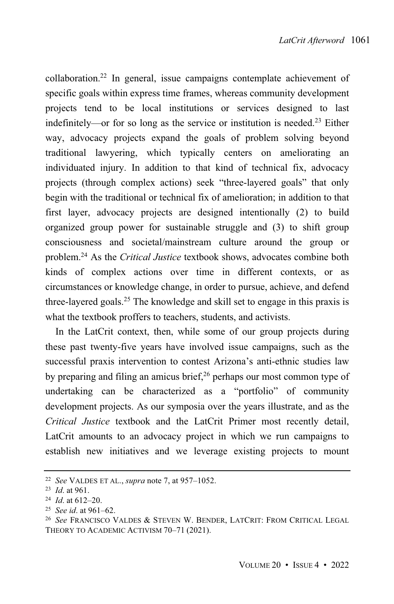collaboration.<sup>22</sup> In general, issue campaigns contemplate achievement of specific goals within express time frames, whereas community development projects tend to be local institutions or services designed to last indefinitely—or for so long as the service or institution is needed.<sup>23</sup> Either way, advocacy projects expand the goals of problem solving beyond traditional lawyering, which typically centers on ameliorating an individuated injury. In addition to that kind of technical fix, advocacy projects (through complex actions) seek "three-layered goals" that only begin with the traditional or technical fix of amelioration; in addition to that first layer, advocacy projects are designed intentionally (2) to build organized group power for sustainable struggle and (3) to shift group consciousness and societal/mainstream culture around the group or problem. <sup>24</sup> As the *Critical Justice* textbook shows, advocates combine both kinds of complex actions over time in different contexts, or as circumstances or knowledge change, in order to pursue, achieve, and defend three-layered goals. <sup>25</sup> The knowledge and skill set to engage in this praxis is what the textbook proffers to teachers, students, and activists.

In the LatCrit context, then, while some of our group projects during these past twenty-five years have involved issue campaigns, such as the successful praxis intervention to contest Arizona's anti-ethnic studies law by preparing and filing an amicus brief,  $2<sup>6</sup>$  perhaps our most common type of undertaking can be characterized as a "portfolio" of community development projects. As our symposia over the years illustrate, and as the *Critical Justice* textbook and the LatCrit Primer most recently detail, LatCrit amounts to an advocacy project in which we run campaigns to establish new initiatives and we leverage existing projects to mount

<sup>22</sup> *See* VALDES ET AL., *supra* note 7, at 957–1052.

<sup>23</sup> *Id*. at 961.

<sup>24</sup> *Id*. at 612–20.

<sup>25</sup> *See id*. at 961–62.

<sup>26</sup> *See* FRANCISCO VALDES & STEVEN W. BENDER, LATCRIT: FROM CRITICAL LEGAL THEORY TO ACADEMIC ACTIVISM 70–71 (2021).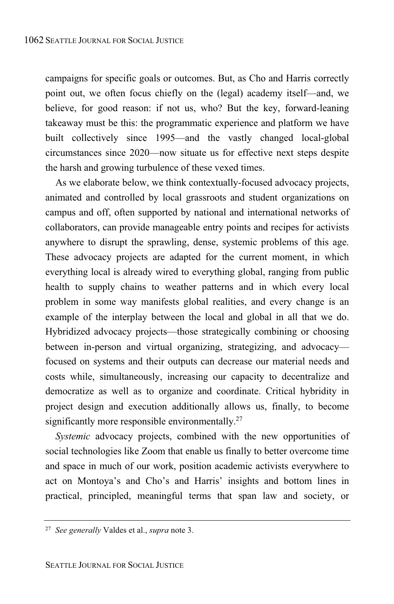campaigns for specific goals or outcomes. But, as Cho and Harris correctly point out, we often focus chiefly on the (legal) academy itself—and, we believe, for good reason: if not us, who? But the key, forward-leaning takeaway must be this: the programmatic experience and platform we have built collectively since 1995—and the vastly changed local-global circumstances since 2020—now situate us for effective next steps despite the harsh and growing turbulence of these vexed times.

As we elaborate below, we think contextually-focused advocacy projects, animated and controlled by local grassroots and student organizations on campus and off, often supported by national and international networks of collaborators, can provide manageable entry points and recipes for activists anywhere to disrupt the sprawling, dense, systemic problems of this age. These advocacy projects are adapted for the current moment, in which everything local is already wired to everything global, ranging from public health to supply chains to weather patterns and in which every local problem in some way manifests global realities, and every change is an example of the interplay between the local and global in all that we do. Hybridized advocacy projects—those strategically combining or choosing between in-person and virtual organizing, strategizing, and advocacy focused on systems and their outputs can decrease our material needs and costs while, simultaneously, increasing our capacity to decentralize and democratize as well as to organize and coordinate. Critical hybridity in project design and execution additionally allows us, finally, to become significantly more responsible environmentally.<sup>27</sup>

*Systemic* advocacy projects, combined with the new opportunities of social technologies like Zoom that enable us finally to better overcome time and space in much of our work, position academic activists everywhere to act on Montoya's and Cho's and Harris' insights and bottom lines in practical, principled, meaningful terms that span law and society, or

<sup>27</sup> *See generally* Valdes et al., *supra* note 3.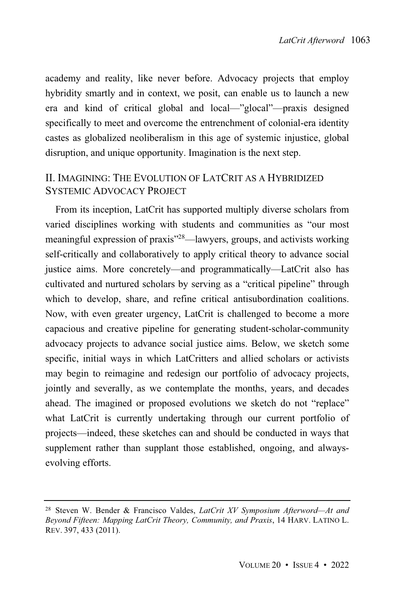academy and reality, like never before. Advocacy projects that employ hybridity smartly and in context, we posit, can enable us to launch a new era and kind of critical global and local—"glocal"—praxis designed specifically to meet and overcome the entrenchment of colonial-era identity castes as globalized neoliberalism in this age of systemic injustice, global disruption, and unique opportunity. Imagination is the next step.

## II. IMAGINING: THE EVOLUTION OF LATCRIT AS A HYBRIDIZED SYSTEMIC ADVOCACY PROJECT

From its inception, LatCrit has supported multiply diverse scholars from varied disciplines working with students and communities as "our most meaningful expression of praxis"<sup>28</sup>—lawyers, groups, and activists working self-critically and collaboratively to apply critical theory to advance social justice aims. More concretely—and programmatically—LatCrit also has cultivated and nurtured scholars by serving as a "critical pipeline" through which to develop, share, and refine critical antisubordination coalitions. Now, with even greater urgency, LatCrit is challenged to become a more capacious and creative pipeline for generating student-scholar-community advocacy projects to advance social justice aims. Below, we sketch some specific, initial ways in which LatCritters and allied scholars or activists may begin to reimagine and redesign our portfolio of advocacy projects, jointly and severally, as we contemplate the months, years, and decades ahead. The imagined or proposed evolutions we sketch do not "replace" what LatCrit is currently undertaking through our current portfolio of projects—indeed, these sketches can and should be conducted in ways that supplement rather than supplant those established, ongoing, and alwaysevolving efforts.

<sup>28</sup> Steven W. Bender & Francisco Valdes, *LatCrit XV Symposium Afterword—At and Beyond Fifteen: Mapping LatCrit Theory, Community, and Praxis*, 14 HARV. LATINO L. REV. 397, 433 (2011).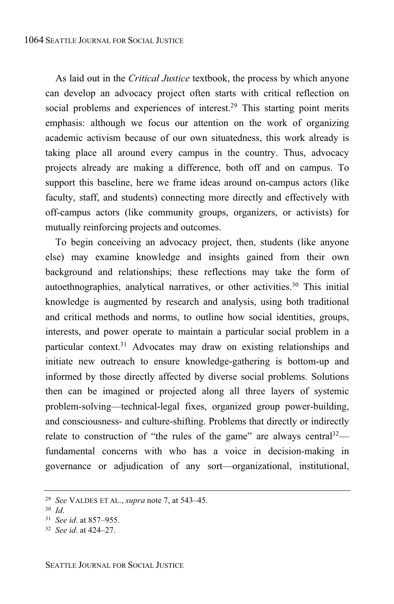As laid out in the *Critical Justice* textbook, the process by which anyone can develop an advocacy project often starts with critical reflection on social problems and experiences of interest.<sup>29</sup> This starting point merits emphasis: although we focus our attention on the work of organizing academic activism because of our own situatedness, this work already is taking place all around every campus in the country. Thus, advocacy projects already are making a difference, both off and on campus. To support this baseline, here we frame ideas around on-campus actors (like faculty, staff, and students) connecting more directly and effectively with off-campus actors (like community groups, organizers, or activists) for mutually reinforcing projects and outcomes.

To begin conceiving an advocacy project, then, students (like anyone else) may examine knowledge and insights gained from their own background and relationships; these reflections may take the form of autoethnographies, analytical narratives, or other activities.<sup>30</sup> This initial knowledge is augmented by research and analysis, using both traditional and critical methods and norms, to outline how social identities, groups, interests, and power operate to maintain a particular social problem in a particular context.<sup>31</sup> Advocates may draw on existing relationships and initiate new outreach to ensure knowledge-gathering is bottom-up and informed by those directly affected by diverse social problems. Solutions then can be imagined or projected along all three layers of systemic problem-solving—technical-legal fixes, organized group power-building, and consciousness- and culture-shifting. Problems that directly or indirectly relate to construction of "the rules of the game" are always central  $2^{32}$  fundamental concerns with who has a voice in decision-making in governance or adjudication of any sort—organizational, institutional,

<sup>29</sup> *See* VALDES ET AL., *supra* note 7, at 543–45.

<sup>30</sup> *Id*.

<sup>31</sup> *See id*. at 857–955.

<sup>32</sup> *See id*. at 424–27.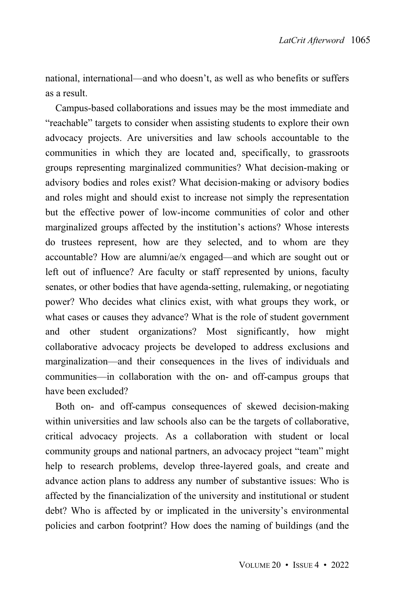national, international—and who doesn't, as well as who benefits or suffers as a result.

Campus-based collaborations and issues may be the most immediate and "reachable" targets to consider when assisting students to explore their own advocacy projects. Are universities and law schools accountable to the communities in which they are located and, specifically, to grassroots groups representing marginalized communities? What decision-making or advisory bodies and roles exist? What decision-making or advisory bodies and roles might and should exist to increase not simply the representation but the effective power of low-income communities of color and other marginalized groups affected by the institution's actions? Whose interests do trustees represent, how are they selected, and to whom are they accountable? How are alumni/ae/x engaged—and which are sought out or left out of influence? Are faculty or staff represented by unions, faculty senates, or other bodies that have agenda-setting, rulemaking, or negotiating power? Who decides what clinics exist, with what groups they work, or what cases or causes they advance? What is the role of student government and other student organizations? Most significantly, how might collaborative advocacy projects be developed to address exclusions and marginalization—and their consequences in the lives of individuals and communities—in collaboration with the on- and off-campus groups that have been excluded?

Both on- and off-campus consequences of skewed decision-making within universities and law schools also can be the targets of collaborative, critical advocacy projects. As a collaboration with student or local community groups and national partners, an advocacy project "team" might help to research problems, develop three-layered goals, and create and advance action plans to address any number of substantive issues: Who is affected by the financialization of the university and institutional or student debt? Who is affected by or implicated in the university's environmental policies and carbon footprint? How does the naming of buildings (and the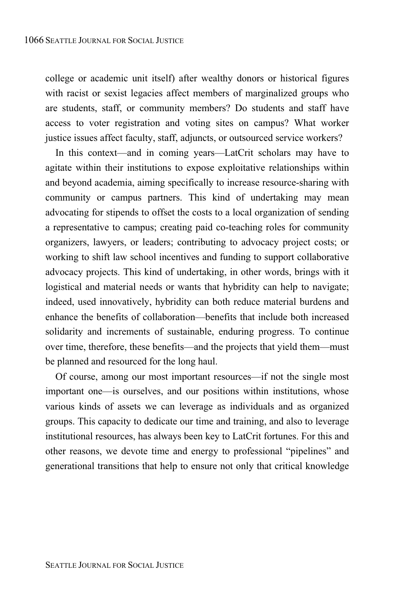college or academic unit itself) after wealthy donors or historical figures with racist or sexist legacies affect members of marginalized groups who are students, staff, or community members? Do students and staff have access to voter registration and voting sites on campus? What worker justice issues affect faculty, staff, adjuncts, or outsourced service workers?

In this context—and in coming years—LatCrit scholars may have to agitate within their institutions to expose exploitative relationships within and beyond academia, aiming specifically to increase resource-sharing with community or campus partners. This kind of undertaking may mean advocating for stipends to offset the costs to a local organization of sending a representative to campus; creating paid co-teaching roles for community organizers, lawyers, or leaders; contributing to advocacy project costs; or working to shift law school incentives and funding to support collaborative advocacy projects. This kind of undertaking, in other words, brings with it logistical and material needs or wants that hybridity can help to navigate; indeed, used innovatively, hybridity can both reduce material burdens and enhance the benefits of collaboration—benefits that include both increased solidarity and increments of sustainable, enduring progress. To continue over time, therefore, these benefits—and the projects that yield them—must be planned and resourced for the long haul.

Of course, among our most important resources—if not the single most important one—is ourselves, and our positions within institutions, whose various kinds of assets we can leverage as individuals and as organized groups. This capacity to dedicate our time and training, and also to leverage institutional resources, has always been key to LatCrit fortunes. For this and other reasons, we devote time and energy to professional "pipelines" and generational transitions that help to ensure not only that critical knowledge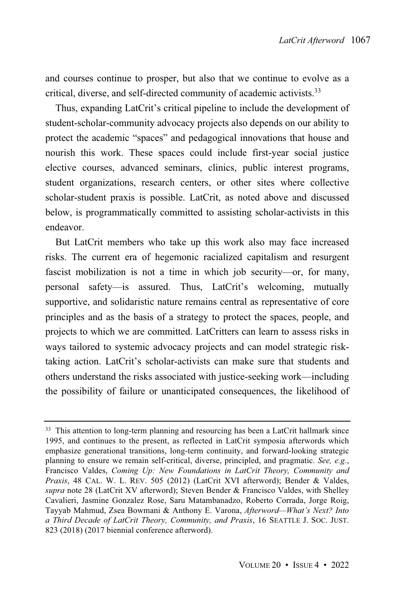and courses continue to prosper, but also that we continue to evolve as a critical, diverse, and self-directed community of academic activists. 33

Thus, expanding LatCrit's critical pipeline to include the development of student-scholar-community advocacy projects also depends on our ability to protect the academic "spaces" and pedagogical innovations that house and nourish this work. These spaces could include first-year social justice elective courses, advanced seminars, clinics, public interest programs, student organizations, research centers, or other sites where collective scholar-student praxis is possible. LatCrit, as noted above and discussed below, is programmatically committed to assisting scholar-activists in this endeavor.

But LatCrit members who take up this work also may face increased risks. The current era of hegemonic racialized capitalism and resurgent fascist mobilization is not a time in which job security—or, for many, personal safety—is assured. Thus, LatCrit's welcoming, mutually supportive, and solidaristic nature remains central as representative of core principles and as the basis of a strategy to protect the spaces, people, and projects to which we are committed. LatCritters can learn to assess risks in ways tailored to systemic advocacy projects and can model strategic risktaking action. LatCrit's scholar-activists can make sure that students and others understand the risks associated with justice-seeking work—including the possibility of failure or unanticipated consequences, the likelihood of

<sup>&</sup>lt;sup>33</sup> This attention to long-term planning and resourcing has been a LatCrit hallmark since 1995, and continues to the present, as reflected in LatCrit symposia afterwords which emphasize generational transitions, long-term continuity, and forward-looking strategic planning to ensure we remain self-critical, diverse, principled, and pragmatic. *See, e.g.*, Francisco Valdes, *Coming Up: New Foundations in LatCrit Theory, Community and Praxis*, 48 CAL. W. L. REV. 505 (2012) (LatCrit XVI afterword); Bender & Valdes, *supra* note 28 (LatCrit XV afterword); Steven Bender & Francisco Valdes, with Shelley Cavalieri, Jasmine Gonzalez Rose, Saru Matambanadzo, Roberto Corrada, Jorge Roig, Tayyab Mahmud, Zsea Bowmani & Anthony E. Varona, *Afterword—What's Next? Into a Third Decade of LatCrit Theory, Community, and Praxis*, 16 SEATTLE J. SOC. JUST. 823 (2018) (2017 biennial conference afterword).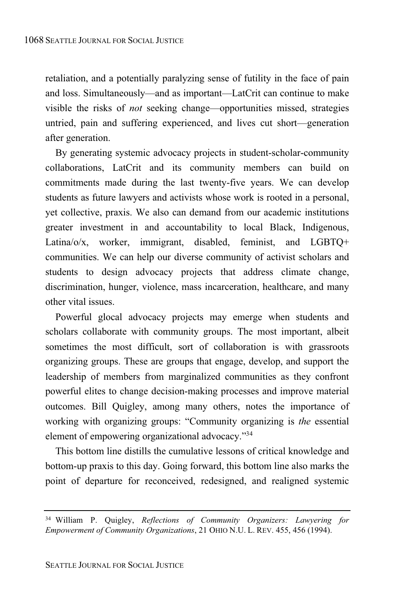retaliation, and a potentially paralyzing sense of futility in the face of pain and loss. Simultaneously—and as important—LatCrit can continue to make visible the risks of *not* seeking change—opportunities missed, strategies untried, pain and suffering experienced, and lives cut short—generation after generation.

By generating systemic advocacy projects in student-scholar-community collaborations, LatCrit and its community members can build on commitments made during the last twenty-five years. We can develop students as future lawyers and activists whose work is rooted in a personal, yet collective, praxis. We also can demand from our academic institutions greater investment in and accountability to local Black, Indigenous, Latina/o/x, worker, immigrant, disabled, feminist, and LGBTQ+ communities. We can help our diverse community of activist scholars and students to design advocacy projects that address climate change, discrimination, hunger, violence, mass incarceration, healthcare, and many other vital issues.

Powerful glocal advocacy projects may emerge when students and scholars collaborate with community groups. The most important, albeit sometimes the most difficult, sort of collaboration is with grassroots organizing groups. These are groups that engage, develop, and support the leadership of members from marginalized communities as they confront powerful elites to change decision-making processes and improve material outcomes. Bill Quigley, among many others, notes the importance of working with organizing groups: "Community organizing is *the* essential element of empowering organizational advocacy."<sup>34</sup>

This bottom line distills the cumulative lessons of critical knowledge and bottom-up praxis to this day. Going forward, this bottom line also marks the point of departure for reconceived, redesigned, and realigned systemic

<sup>34</sup> William P. Quigley, *Reflections of Community Organizers: Lawyering for Empowerment of Community Organizations*, 21 OHIO N.U. L. REV. 455, 456 (1994).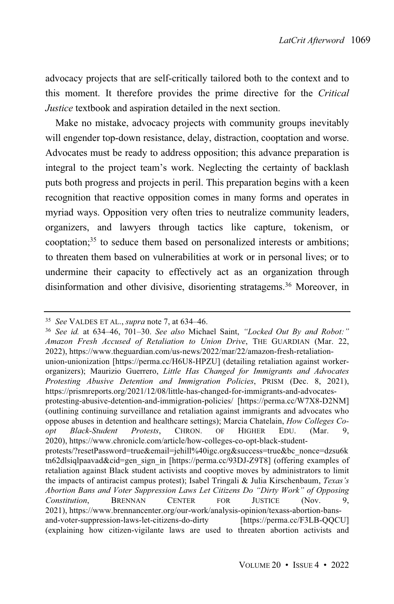advocacy projects that are self-critically tailored both to the context and to this moment. It therefore provides the prime directive for the *Critical Justice* textbook and aspiration detailed in the next section.

Make no mistake, advocacy projects with community groups inevitably will engender top-down resistance, delay, distraction, cooptation and worse. Advocates must be ready to address opposition; this advance preparation is integral to the project team's work. Neglecting the certainty of backlash puts both progress and projects in peril. This preparation begins with a keen recognition that reactive opposition comes in many forms and operates in myriad ways. Opposition very often tries to neutralize community leaders, organizers, and lawyers through tactics like capture, tokenism, or cooptation;<sup>35</sup> to seduce them based on personalized interests or ambitions; to threaten them based on vulnerabilities at work or in personal lives; or to undermine their capacity to effectively act as an organization through disinformation and other divisive, disorienting stratagems.<sup>36</sup> Moreover, in

protesting-abusive-detention-and-immigration-policies/ [https://perma.cc/W7X8-D2NM] (outlining continuing surveillance and retaliation against immigrants and advocates who oppose abuses in detention and healthcare settings); Marcia Chatelain, *How Colleges Coopt Black-Student Protests*, CHRON. OF HIGHER EDU. (Mar. 9, 2020), https://www.chronicle.com/article/how-colleges-co-opt-black-student-

<sup>35</sup> *See* VALDES ET AL., *supra* note 7, at 634–46.

<sup>36</sup> *See id.* at 634–46, 701–30. *See also* Michael Saint, *"Locked Out By and Robot:" Amazon Fresh Accused of Retaliation to Union Drive*, THE GUARDIAN (Mar. 22, 2022), https://www.theguardian.com/us-news/2022/mar/22/amazon-fresh-retaliation-

union-unionization [https://perma.cc/H6U8-HPZU] (detailing retaliation against workerorganizers); Maurizio Guerrero, *Little Has Changed for Immigrants and Advocates Protesting Abusive Detention and Immigration Policies*, PRISM (Dec. 8, 2021), https://prismreports.org/2021/12/08/little-has-changed-for-immigrants-and-advocates-

protests/?resetPassword=true&email=jehill%40igc.org&success=true&bc\_nonce=dzsu6k tn62dlsiqlpaavad&cid=gen\_sign\_in [https://perma.cc/93DJ-Z9T8] (offering examples of retaliation against Black student activists and cooptive moves by administrators to limit the impacts of antiracist campus protest); Isabel Tringali & Julia Kirschenbaum, *Texas's Abortion Bans and Voter Suppression Laws Let Citizens Do "Dirty Work" of Opposing Constitution*, BRENNAN CENTER FOR JUSTICE (Nov. 9, 2021), https://www.brennancenter.org/our-work/analysis-opinion/texass-abortion-bansand-voter-suppression-laws-let-citizens-do-dirty [https://perma.cc/F3LB-QQCU] (explaining how citizen-vigilante laws are used to threaten abortion activists and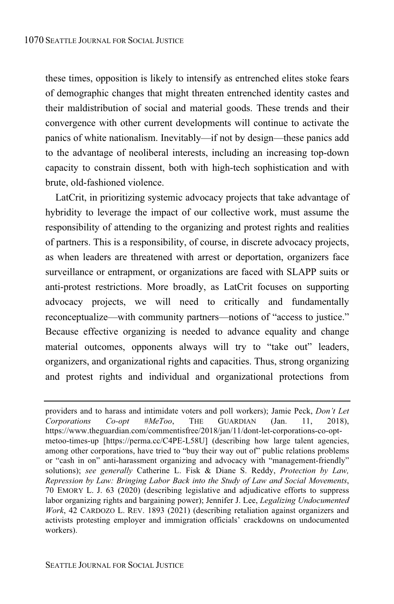these times, opposition is likely to intensify as entrenched elites stoke fears of demographic changes that might threaten entrenched identity castes and their maldistribution of social and material goods. These trends and their convergence with other current developments will continue to activate the panics of white nationalism. Inevitably—if not by design—these panics add to the advantage of neoliberal interests, including an increasing top-down capacity to constrain dissent, both with high-tech sophistication and with brute, old-fashioned violence.

LatCrit, in prioritizing systemic advocacy projects that take advantage of hybridity to leverage the impact of our collective work, must assume the responsibility of attending to the organizing and protest rights and realities of partners. This is a responsibility, of course, in discrete advocacy projects, as when leaders are threatened with arrest or deportation, organizers face surveillance or entrapment, or organizations are faced with SLAPP suits or anti-protest restrictions. More broadly, as LatCrit focuses on supporting advocacy projects, we will need to critically and fundamentally reconceptualize—with community partners—notions of "access to justice." Because effective organizing is needed to advance equality and change material outcomes, opponents always will try to "take out" leaders, organizers, and organizational rights and capacities. Thus, strong organizing and protest rights and individual and organizational protections from

providers and to harass and intimidate voters and poll workers); Jamie Peck, *Don't Let Corporations Co-opt #MeToo*, THE GUARDIAN (Jan. 11, 2018), https://www.theguardian.com/commentisfree/2018/jan/11/dont-let-corporations-co-optmetoo-times-up [https://perma.cc/C4PE-L58U] (describing how large talent agencies, among other corporations, have tried to "buy their way out of" public relations problems or "cash in on" anti-harassment organizing and advocacy with "management-friendly" solutions); *see generally* Catherine L. Fisk & Diane S. Reddy, *Protection by Law, Repression by Law: Bringing Labor Back into the Study of Law and Social Movements*, 70 EMORY L. J. 63 (2020) (describing legislative and adjudicative efforts to suppress labor organizing rights and bargaining power); Jennifer J. Lee, *Legalizing Undocumented Work*, 42 CARDOZO L. REV. 1893 (2021) (describing retaliation against organizers and activists protesting employer and immigration officials' crackdowns on undocumented workers).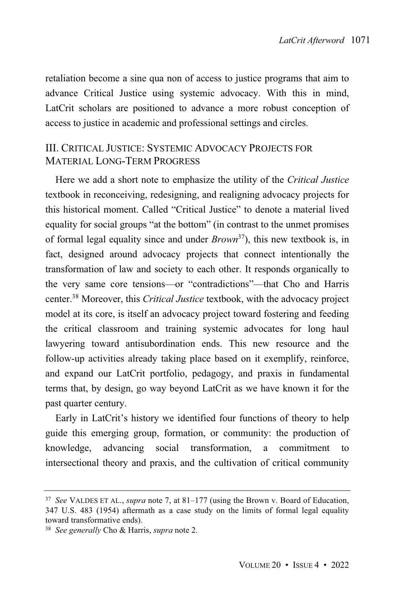retaliation become a sine qua non of access to justice programs that aim to advance Critical Justice using systemic advocacy. With this in mind, LatCrit scholars are positioned to advance a more robust conception of access to justice in academic and professional settings and circles.

## III. CRITICAL JUSTICE: SYSTEMIC ADVOCACY PROJECTS FOR MATERIAL LONG-TERM PROGRESS

Here we add a short note to emphasize the utility of the *Critical Justice* textbook in reconceiving, redesigning, and realigning advocacy projects for this historical moment. Called "Critical Justice" to denote a material lived equality for social groups "at the bottom" (in contrast to the unmet promises of formal legal equality since and under *Brown*<sup>37</sup>), this new textbook is, in fact, designed around advocacy projects that connect intentionally the transformation of law and society to each other. It responds organically to the very same core tensions—or "contradictions"—that Cho and Harris center. <sup>38</sup> Moreover, this *Critical Justice* textbook, with the advocacy project model at its core, is itself an advocacy project toward fostering and feeding the critical classroom and training systemic advocates for long haul lawyering toward antisubordination ends. This new resource and the follow-up activities already taking place based on it exemplify, reinforce, and expand our LatCrit portfolio, pedagogy, and praxis in fundamental terms that, by design, go way beyond LatCrit as we have known it for the past quarter century.

Early in LatCrit's history we identified four functions of theory to help guide this emerging group, formation, or community: the production of knowledge, advancing social transformation, a commitment to intersectional theory and praxis, and the cultivation of critical community

<sup>37</sup> *See* VALDES ET AL., *supra* note 7, at 81–177 (using the Brown v. Board of Education, 347 U.S. 483 (1954) aftermath as a case study on the limits of formal legal equality toward transformative ends).

<sup>38</sup> *See generally* Cho & Harris, *supra* note 2.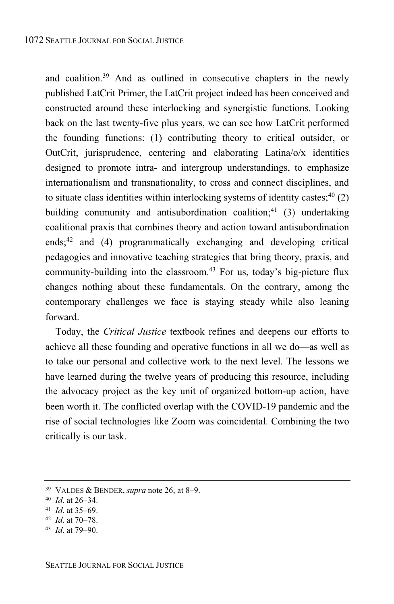and coalition.<sup>39</sup> And as outlined in consecutive chapters in the newly published LatCrit Primer, the LatCrit project indeed has been conceived and constructed around these interlocking and synergistic functions. Looking back on the last twenty-five plus years, we can see how LatCrit performed the founding functions: (1) contributing theory to critical outsider, or OutCrit, jurisprudence, centering and elaborating Latina/o/x identities designed to promote intra- and intergroup understandings, to emphasize internationalism and transnationality, to cross and connect disciplines, and to situate class identities within interlocking systems of identity castes; <sup>40</sup> (2) building community and antisubordination coalition;<sup>41</sup> (3) undertaking coalitional praxis that combines theory and action toward antisubordination ends; $42$  and (4) programmatically exchanging and developing critical pedagogies and innovative teaching strategies that bring theory, praxis, and community-building into the classroom. <sup>43</sup> For us, today's big-picture flux changes nothing about these fundamentals. On the contrary, among the contemporary challenges we face is staying steady while also leaning forward.

Today, the *Critical Justice* textbook refines and deepens our efforts to achieve all these founding and operative functions in all we do—as well as to take our personal and collective work to the next level. The lessons we have learned during the twelve years of producing this resource, including the advocacy project as the key unit of organized bottom-up action, have been worth it. The conflicted overlap with the COVID-19 pandemic and the rise of social technologies like Zoom was coincidental. Combining the two critically is our task.

<sup>39</sup> VALDES & BENDER, *supra* note 26, at 8–9.

<sup>40</sup> *Id*. at 26–34.

<sup>41</sup> *Id*. at 35–69.

<sup>42</sup> *Id*. at 70–78.

<sup>43</sup> *Id*. at 79–90.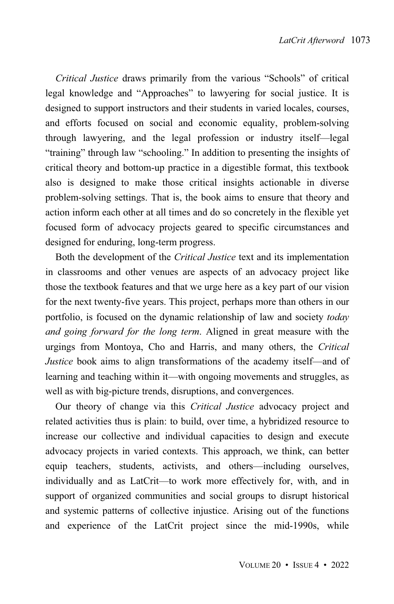*Critical Justice* draws primarily from the various "Schools" of critical legal knowledge and "Approaches" to lawyering for social justice. It is designed to support instructors and their students in varied locales, courses, and efforts focused on social and economic equality, problem-solving through lawyering, and the legal profession or industry itself—legal "training" through law "schooling." In addition to presenting the insights of critical theory and bottom-up practice in a digestible format, this textbook also is designed to make those critical insights actionable in diverse problem-solving settings. That is, the book aims to ensure that theory and action inform each other at all times and do so concretely in the flexible yet focused form of advocacy projects geared to specific circumstances and designed for enduring, long-term progress.

Both the development of the *Critical Justice* text and its implementation in classrooms and other venues are aspects of an advocacy project like those the textbook features and that we urge here as a key part of our vision for the next twenty-five years. This project, perhaps more than others in our portfolio, is focused on the dynamic relationship of law and society *today and going forward for the long term*. Aligned in great measure with the urgings from Montoya, Cho and Harris, and many others, the *Critical Justice* book aims to align transformations of the academy itself—and of learning and teaching within it—with ongoing movements and struggles, as well as with big-picture trends, disruptions, and convergences.

Our theory of change via this *Critical Justice* advocacy project and related activities thus is plain: to build, over time, a hybridized resource to increase our collective and individual capacities to design and execute advocacy projects in varied contexts. This approach, we think, can better equip teachers, students, activists, and others—including ourselves, individually and as LatCrit—to work more effectively for, with, and in support of organized communities and social groups to disrupt historical and systemic patterns of collective injustice. Arising out of the functions and experience of the LatCrit project since the mid-1990s, while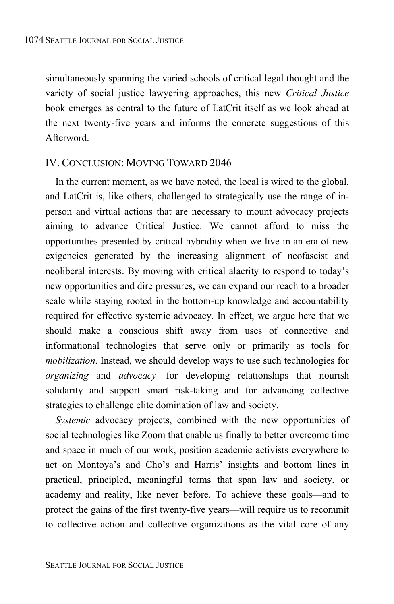simultaneously spanning the varied schools of critical legal thought and the variety of social justice lawyering approaches, this new *Critical Justice* book emerges as central to the future of LatCrit itself as we look ahead at the next twenty-five years and informs the concrete suggestions of this Afterword.

#### IV. CONCLUSION: MOVING TOWARD 2046

In the current moment, as we have noted, the local is wired to the global, and LatCrit is, like others, challenged to strategically use the range of inperson and virtual actions that are necessary to mount advocacy projects aiming to advance Critical Justice. We cannot afford to miss the opportunities presented by critical hybridity when we live in an era of new exigencies generated by the increasing alignment of neofascist and neoliberal interests. By moving with critical alacrity to respond to today's new opportunities and dire pressures, we can expand our reach to a broader scale while staying rooted in the bottom-up knowledge and accountability required for effective systemic advocacy. In effect, we argue here that we should make a conscious shift away from uses of connective and informational technologies that serve only or primarily as tools for *mobilization*. Instead, we should develop ways to use such technologies for *organizing* and *advocacy*—for developing relationships that nourish solidarity and support smart risk-taking and for advancing collective strategies to challenge elite domination of law and society.

*Systemic* advocacy projects, combined with the new opportunities of social technologies like Zoom that enable us finally to better overcome time and space in much of our work, position academic activists everywhere to act on Montoya's and Cho's and Harris' insights and bottom lines in practical, principled, meaningful terms that span law and society, or academy and reality, like never before. To achieve these goals—and to protect the gains of the first twenty-five years—will require us to recommit to collective action and collective organizations as the vital core of any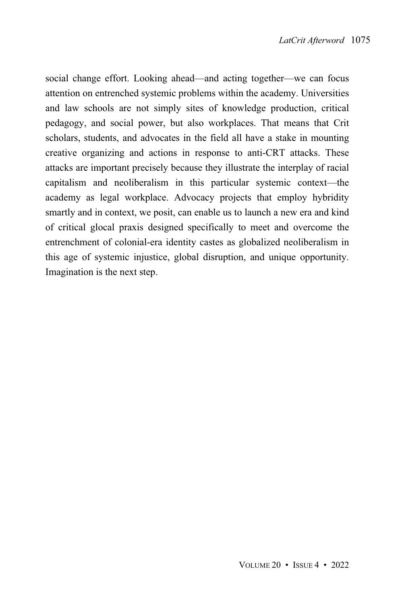social change effort. Looking ahead—and acting together—we can focus attention on entrenched systemic problems within the academy. Universities and law schools are not simply sites of knowledge production, critical pedagogy, and social power, but also workplaces. That means that Crit scholars, students, and advocates in the field all have a stake in mounting creative organizing and actions in response to anti-CRT attacks. These attacks are important precisely because they illustrate the interplay of racial capitalism and neoliberalism in this particular systemic context—the academy as legal workplace. Advocacy projects that employ hybridity smartly and in context, we posit, can enable us to launch a new era and kind of critical glocal praxis designed specifically to meet and overcome the entrenchment of colonial-era identity castes as globalized neoliberalism in this age of systemic injustice, global disruption, and unique opportunity. Imagination is the next step.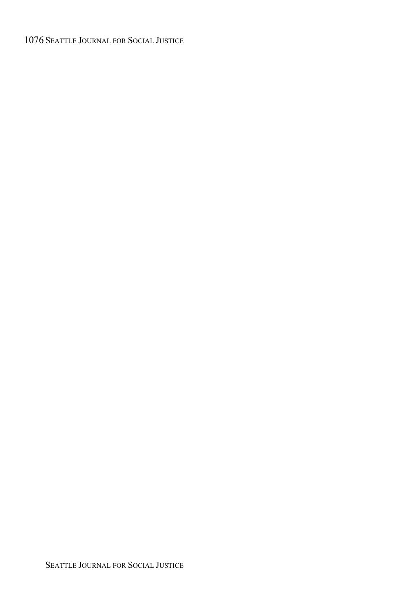### 1076 SEATTLE JOURNAL FOR SOCIAL JUSTICE